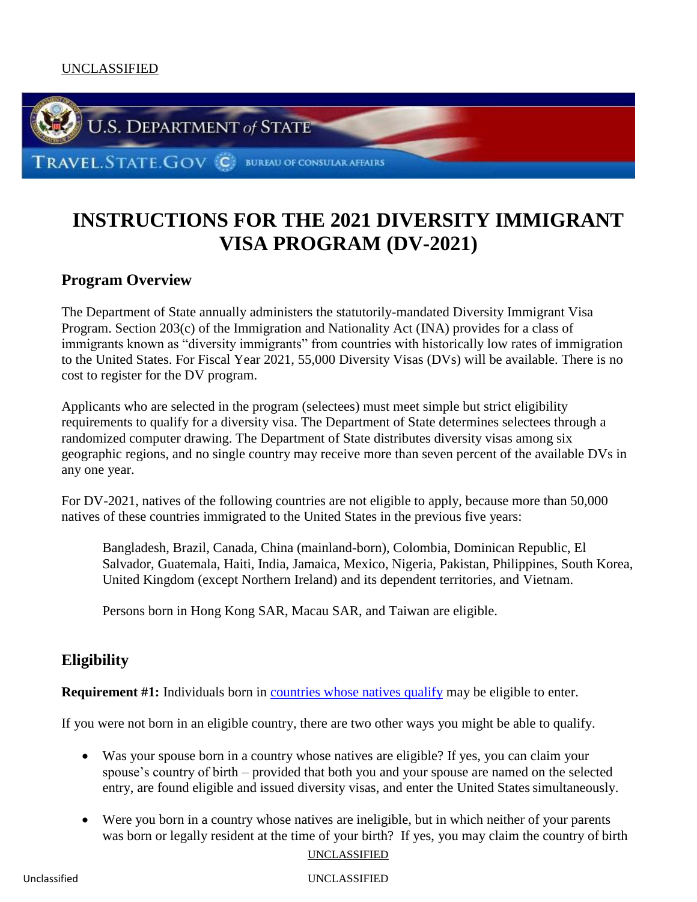

# **INSTRUCTIONS FOR THE 2021 DIVERSITY IMMIGRANT VISA PROGRAM (DV-2021)**

# **Program Overview**

The Department of State annually administers the statutorily-mandated Diversity Immigrant Visa Program. Section 203(c) of the Immigration and Nationality Act (INA) provides for a class of immigrants known as "diversity immigrants" from countries with historically low rates of immigration to the United States. For Fiscal Year 2021, 55,000 Diversity Visas (DVs) will be available. There is no cost to register for the DV program.

Applicants who are selected in the program (selectees) must meet simple but strict eligibility requirements to qualify for a diversity visa. The Department of State determines selectees through a randomized computer drawing. The Department of State distributes diversity visas among six geographic regions, and no single country may receive more than seven percent of the available DVs in any one year.

For DV-2021, natives of the following countries are not eligible to apply, because more than 50,000 natives of these countries immigrated to the United States in the previous five years:

Bangladesh, Brazil, Canada, China (mainland-born), Colombia, Dominican Republic, El Salvador, Guatemala, Haiti, India, Jamaica, Mexico, Nigeria, Pakistan, Philippines, South Korea, United Kingdom (except Northern Ireland) and its dependent territories, and Vietnam.

Persons born in Hong Kong SAR, Macau SAR, and Taiwan are eligible.

# **Eligibility**

**Requirement #1:** Individuals born in *countries whose natives qualify* may be eligible to enter.

If you were not born in an eligible country, there are two other ways you might be able to qualify.

- Was your spouse born in a country whose natives are eligible? If yes, you can claim your spouse's country of birth – provided that both you and your spouse are named on the selected entry, are found eligible and issued diversity visas, and enter the United States simultaneously.
- Were you born in a country whose natives are ineligible, but in which neither of your parents was born or legally resident at the time of your birth? If yes, you may claim the country of birth

```
UNCLASSIFIED
```
Unclassified UNCLASSIFIED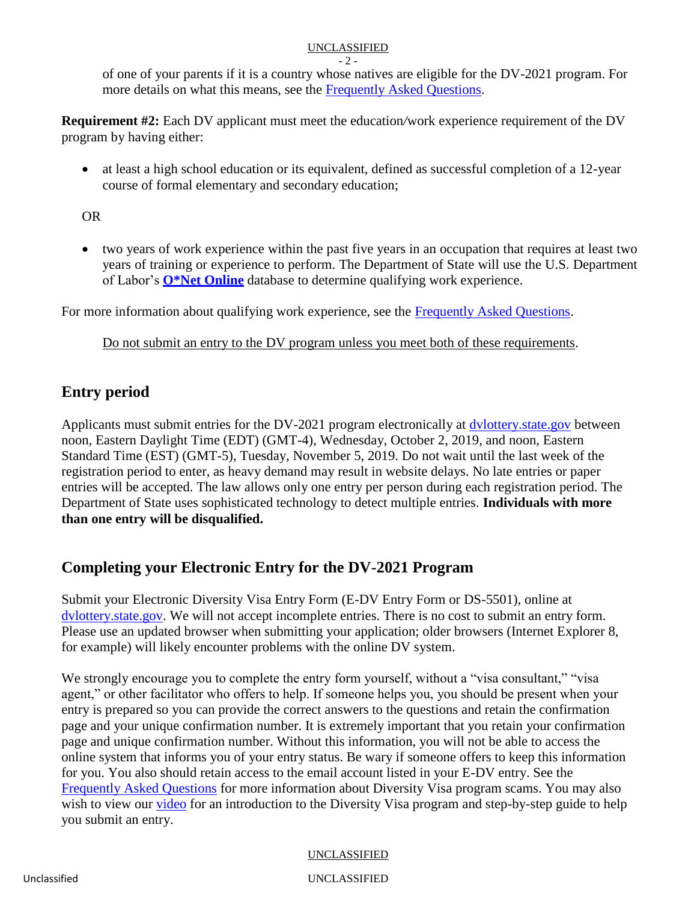#### $-2$  -

of one of your parents if it is a country whose natives are eligible for the DV-2021 program. For more details on what this means, see the [Frequently Asked Questions.](#page-7-0)

**Requirement #2:** Each DV applicant must meet the education*/*work experience requirement of the DV program by having either:

• at least a high school education or its equivalent, defined as successful completion of a 12-year course of formal elementary and secondary education;

OR

 two years of work experience within the past five years in an occupation that requires at least two years of training or experience to perform. The Department of State will use the U.S. Department of Labor's **[O\\*Net Online](http://online.onetcenter.org/)** database to determine qualifying work experience.

For more information about qualifying work experience, see the [Frequently Asked Questions.](#page-8-0)

Do not submit an entry to the DV program unless you meet both of these requirements.

# **Entry period**

Applicants must submit entries for the DV-2021 program electronically at [dvlottery.state.gov](https://www.dvlottery.state.gov/) between noon, Eastern Daylight Time (EDT) (GMT-4), Wednesday, October 2, 2019, and noon, Eastern Standard Time (EST) (GMT-5), Tuesday, November 5, 2019. Do not wait until the last week of the registration period to enter, as heavy demand may result in website delays. No late entries or paper entries will be accepted. The law allows only one entry per person during each registration period. The Department of State uses sophisticated technology to detect multiple entries. **Individuals with more than one entry will be disqualified.**

# **Completing your Electronic Entry for the DV-2021 Program**

Submit your Electronic Diversity Visa Entry Form (E-DV Entry Form or DS-5501), online at [dvlottery.state.gov.](https://www.dvlottery.state.gov/) We will not accept incomplete entries. There is no cost to submit an entry form. Please use an updated browser when submitting your application; older browsers (Internet Explorer 8, for example) will likely encounter problems with the online DV system.

We strongly encourage you to complete the entry form yourself, without a "visa consultant," "visa" agent," or other facilitator who offers to help. If someone helps you, you should be present when your entry is prepared so you can provide the correct answers to the questions and retain the confirmation page and your unique confirmation number. It is extremely important that you retain your confirmation page and unique confirmation number. Without this information, you will not be able to access the online system that informs you of your entry status. Be wary if someone offers to keep this information for you. You also should retain access to the email account listed in your E-DV entry. See the [Frequently Asked Questions](#page-14-0) for more information about Diversity Visa program scams. You may also wish to view our [video](https://www.youtube.com/watch?v=tOQlh2d2EbQ) for an introduction to the Diversity Visa program and step-by-step guide to help you submit an entry.

# UNCLASSIFIED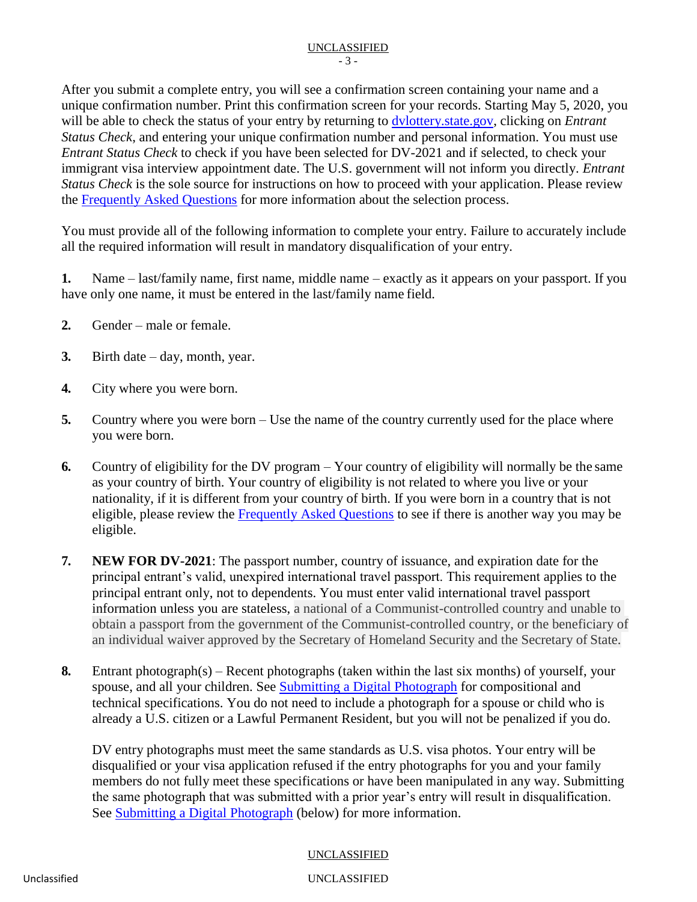After you submit a complete entry, you will see a confirmation screen containing your name and a unique confirmation number. Print this confirmation screen for your records. Starting May 5, 2020, you will be able to check the status of your entry by returning to [dvlottery.state.gov,](https://www.dvlottery.state.gov/) clicking on *Entrant Status Check*, and entering your unique confirmation number and personal information. You must use *Entrant Status Check* to check if you have been selected for DV-2021 and if selected, to check your immigrant visa interview appointment date. The U.S. government will not inform you directly. *Entrant Status Check* is the sole source for instructions on how to proceed with your application. Please review the [Frequently Asked Questions](#page-11-0) for more information about the selection process.

You must provide all of the following information to complete your entry. Failure to accurately include all the required information will result in mandatory disqualification of your entry.

**1.** Name – last/family name, first name, middle name – exactly as it appears on your passport. If you have only one name, it must be entered in the last/family name field.

- **2.** Gender male or female.
- **3.** Birth date day, month, year.
- **4.** City where you were born.
- **5.** Country where you were born Use the name of the country currently used for the place where you were born.
- **6.** Country of eligibility for the DV program Your country of eligibility will normally be the same as your country of birth. Your country of eligibility is not related to where you live or your nationality, if it is different from your country of birth. If you were born in a country that is not eligible, please review the [Frequently Asked Questions](#page-7-1) to see if there is another way you may be eligible.
- **7. NEW FOR DV-2021**: The passport number, country of issuance, and expiration date for the principal entrant's valid, unexpired international travel passport. This requirement applies to the principal entrant only, not to dependents. You must enter valid international travel passport information unless you are stateless, a national of a Communist-controlled country and unable to obtain a passport from the government of the Communist-controlled country, or the beneficiary of an individual waiver approved by the Secretary of Homeland Security and the Secretary of State.
- **8.** Entrant photograph(s) Recent photographs (taken within the last six months) of yourself, your spouse, and all your children. See [Submitting a Digital Photograph](#page-5-0) for compositional and technical specifications. You do not need to include a photograph for a spouse or child who is already a U.S. citizen or a Lawful Permanent Resident, but you will not be penalized if you do.

DV entry photographs must meet the same standards as U.S. visa photos. Your entry will be disqualified or your visa application refused if the entry photographs for you and your family members do not fully meet these specifications or have been manipulated in any way. Submitting the same photograph that was submitted with a prior year's entry will result in disqualification. See [Submitting a Digital Photograph](#page-5-0) (below) for more information.

# UNCLASSIFIED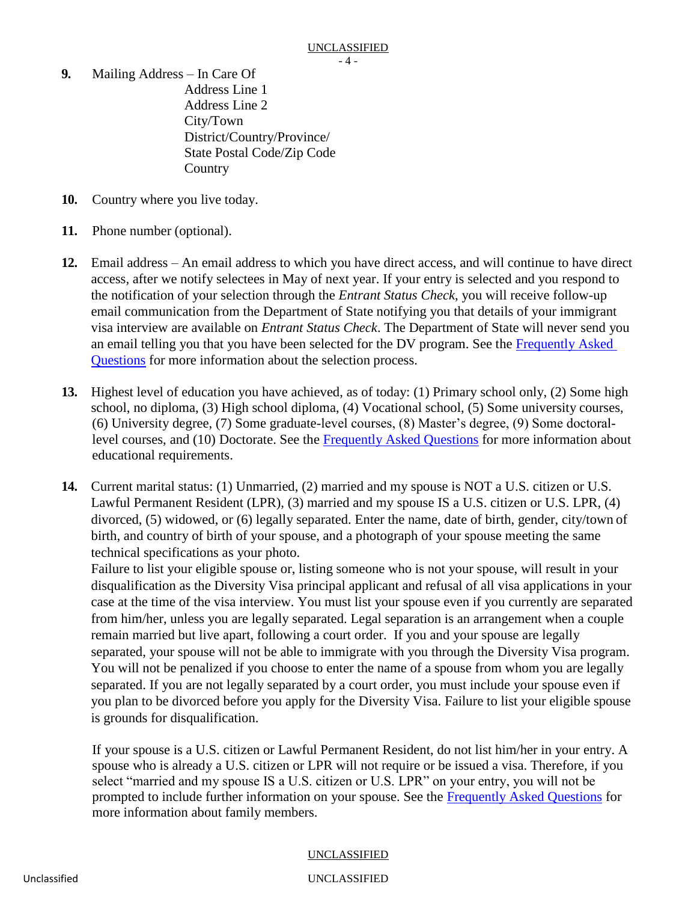- **9.** Mailing Address In Care Of Address Line 1 Address Line 2 City/Town District/Country/Province/ State Postal Code/Zip Code **Country**
- **10.** Country where you live today.
- **11.** Phone number (optional).
- **12.** Email address An email address to which you have direct access, and will continue to have direct access, after we notify selectees in May of next year. If your entry is selected and you respond to the notification of your selection through the *Entrant Status Check*, you will receive follow-up email communication from the Department of State notifying you that details of your immigrant visa interview are available on *Entrant Status Check*. The Department of State will never send you an email telling you that you have been selected for the DV program. See the [Frequently Asked](#page-11-0) Questions for more information about the selection process.
- **13.** Highest level of education you have achieved, as of today: (1) Primary school only, (2) Some high school, no diploma, (3) High school diploma, (4) Vocational school, (5) Some university courses, (6) University degree, (7) Some graduate-level courses, (8) Master's degree, (9) Some doctorallevel courses, and (10) Doctorate. See the [Frequently Asked Questions](#page-8-0) for more information about educational requirements.
- **14.** Current marital status: (1) Unmarried, (2) married and my spouse is NOT a U.S. citizen or U.S. Lawful Permanent Resident (LPR), (3) married and my spouse IS a U.S. citizen or U.S. LPR, (4) divorced, (5) widowed, or (6) legally separated. Enter the name, date of birth, gender, city/town of birth, and country of birth of your spouse, and a photograph of your spouse meeting the same technical specifications as your photo.

Failure to list your eligible spouse or, listing someone who is not your spouse, will result in your disqualification as the Diversity Visa principal applicant and refusal of all visa applications in your case at the time of the visa interview. You must list your spouse even if you currently are separated from him/her, unless you are legally separated. Legal separation is an arrangement when a couple remain married but live apart, following a court order. If you and your spouse are legally separated, your spouse will not be able to immigrate with you through the Diversity Visa program. You will not be penalized if you choose to enter the name of a spouse from whom you are legally separated. If you are not legally separated by a court order, you must include your spouse even if you plan to be divorced before you apply for the Diversity Visa. Failure to list your eligible spouse is grounds for disqualification.

If your spouse is a U.S. citizen or Lawful Permanent Resident, do not list him/her in your entry. A spouse who is already a U.S. citizen or LPR will not require or be issued a visa. Therefore, if you select "married and my spouse IS a U.S. citizen or U.S. LPR" on your entry, you will not be prompted to include further information on your spouse. See the [Frequently Asked Questions](#page-9-0) for more information about family members.

# UNCLASSIFIED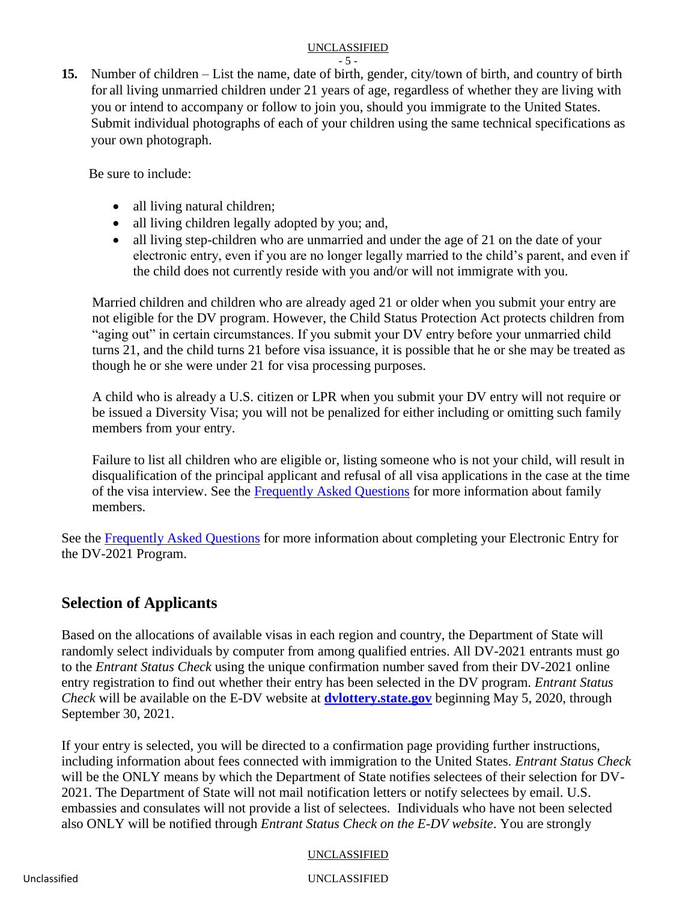**15.** Number of children – List the name, date of birth, gender, city/town of birth, and country of birth for all living unmarried children under 21 years of age, regardless of whether they are living with you or intend to accompany or follow to join you, should you immigrate to the United States. Submit individual photographs of each of your children using the same technical specifications as your own photograph.

Be sure to include:

- all living natural children;
- all living children legally adopted by you; and,
- all living step-children who are unmarried and under the age of 21 on the date of your electronic entry, even if you are no longer legally married to the child's parent, and even if the child does not currently reside with you and/or will not immigrate with you.

Married children and children who are already aged 21 or older when you submit your entry are not eligible for the DV program. However, the Child Status Protection Act protects children from "aging out" in certain circumstances. If you submit your DV entry before your unmarried child turns 21, and the child turns 21 before visa issuance, it is possible that he or she may be treated as though he or she were under 21 for visa processing purposes.

A child who is already a U.S. citizen or LPR when you submit your DV entry will not require or be issued a Diversity Visa; you will not be penalized for either including or omitting such family members from your entry.

Failure to list all children who are eligible or, listing someone who is not your child, will result in disqualification of the principal applicant and refusal of all visa applications in the case at the time of the visa interview. See the [Frequently Asked Questions](#page-9-0) for more information about family members.

See the [Frequently Asked Questions](#page-8-1) for more information about completing your Electronic Entry for the DV-2021 Program.

# **Selection of Applicants**

Based on the allocations of available visas in each region and country, the Department of State will randomly select individuals by computer from among qualified entries. All DV-2021 entrants must go to the *Entrant Status Check* using the unique confirmation number saved from their DV-2021 online entry registration to find out whether their entry has been selected in the DV program. *Entrant Status Check* will be available on the E-DV website at **[dvlottery.state.gov](http://dvlottery.state.gov/)** beginning May 5, 2020, through September 30, 2021.

If your entry is selected, you will be directed to a confirmation page providing further instructions, including information about fees connected with immigration to the United States. *Entrant Status Check*  will be the ONLY means by which the Department of State notifies selectees of their selection for DV-2021. The Department of State will not mail notification letters or notify selectees by email. U.S. embassies and consulates will not provide a list of selectees. Individuals who have not been selected also ONLY will be notified through *Entrant Status Check on the E-DV website*. You are strongly

# UNCLASSIFIED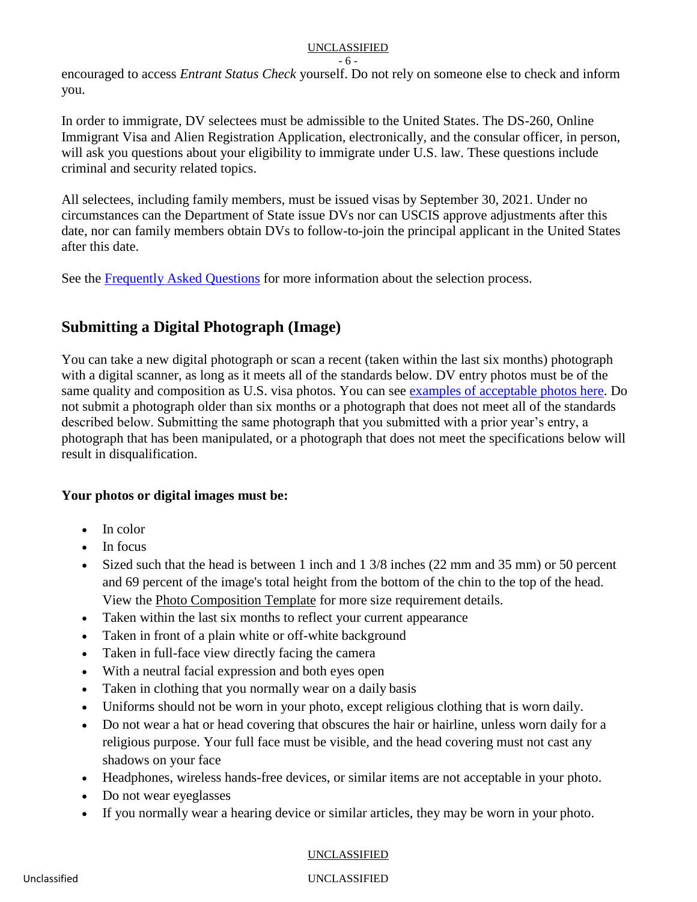#### - 6 -

encouraged to access *Entrant Status Check* yourself. Do not rely on someone else to check and inform you.

In order to immigrate, DV selectees must be admissible to the United States. The DS-260, Online Immigrant Visa and Alien Registration Application, electronically, and the consular officer, in person, will ask you questions about your eligibility to immigrate under U.S. law. These questions include criminal and security related topics.

All selectees, including family members, must be issued visas by September 30, 2021. Under no circumstances can the Department of State issue DVs nor can USCIS approve adjustments after this date, nor can family members obtain DVs to follow-to-join the principal applicant in the United States after this date.

See the [Frequently Asked Questions](#page-11-0) for more information about the selection process.

# <span id="page-5-0"></span>**Submitting a Digital Photograph (Image)**

You can take a new digital photograph or scan a recent (taken within the last six months) photograph with a digital scanner, as long as it meets all of the standards below. DV entry photos must be of the same quality and composition as U.S. visa photos. You can see [examples of acceptable photos here.](https://travel.state.gov/content/travel/en/us-visas/visa-information-resources/photos/photo-examples.html) Do not submit a photograph older than six months or a photograph that does not meet all of the standards described below. Submitting the same photograph that you submitted with a prior year's entry, a photograph that has been manipulated, or a photograph that does not meet the specifications below will result in disqualification.

# **Your photos or digital images must be:**

- In color
- In focus
- Sized such that the head is between 1 inch and 1 3/8 inches (22 mm and 35 mm) or 50 percent and 69 percent of the image's total height from the bottom of the chin to the top of the head. View the [Photo Composition Template](https://travel.state.gov/content/travel/en/us-visas/visa-information-resources/photos/photo-composition-template.html) for more size requirement details.
- Taken within the last six months to reflect your current appearance
- Taken in front of a plain white or off-white background
- Taken in full-face view directly facing the camera
- With a neutral facial expression and both eyes open
- Taken in clothing that you normally wear on a daily basis
- Uniforms should not be worn in your photo, except religious clothing that is worn daily.
- Do not wear a hat or head covering that obscures the hair or hairline, unless worn daily for a religious purpose. Your full face must be visible, and the head covering must not cast any shadows on your face
- Headphones, wireless hands-free devices, or similar items are not acceptable in your photo.
- Do not wear eyeglasses
- If you normally wear a hearing device or similar articles, they may be worn in your photo.

# UNCLASSIFIED UNCLASSIFIED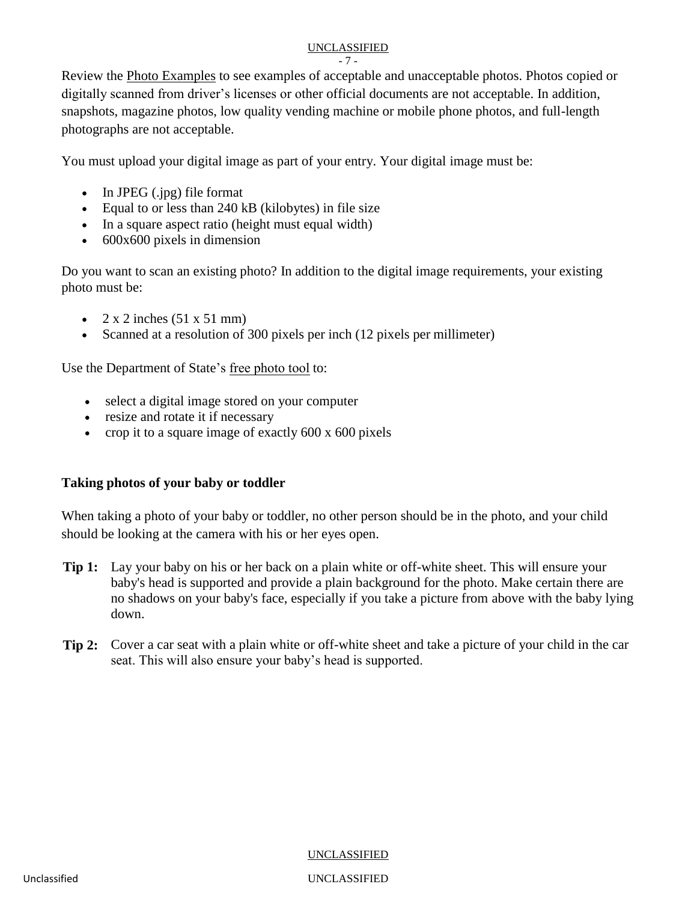- 7 -

Review the [Photo Examples](https://travel.state.gov/content/travel/en/us-visas/visa-information-resources/photos/photo-examples.html) to see examples of acceptable and unacceptable photos. Photos copied or digitally scanned from driver's licenses or other official documents are not acceptable. In addition, snapshots, magazine photos, low quality vending machine or mobile phone photos, and full-length photographs are not acceptable.

You must upload your digital image as part of your entry. Your digital image must be:

- $\bullet$  In JPEG (.jpg) file format
- Equal to or less than 240 kB (kilobytes) in file size
- In a square aspect ratio (height must equal width)
- 600x600 pixels in dimension

Do you want to scan an existing photo? In addition to the digital image requirements, your existing photo must be:

- $\bullet$  2 x 2 inches (51 x 51 mm)
- Scanned at a resolution of 300 pixels per inch (12 pixels per millimeter)

Use the Department of Stat[e's free photo tool](https://travel.state.gov/content/dam/passports/content-page-resources/FIG_cropper.swf) to:

- select a digital image stored on your computer
- resize and rotate it if necessary
- crop it to a square image of exactly  $600 \times 600$  pixels

# **Taking photos of your baby or toddler**

When taking a photo of your baby or toddler, no other person should be in the photo, and your child should be looking at the camera with his or her eyes open.

- **Tip 1:** Lay your baby on his or her back on a plain white or off-white sheet. This will ensure your baby's head is supported and provide a plain background for the photo. Make certain there are no shadows on your baby's face, especially if you take a picture from above with the baby lying down.
- **Tip 2:** Cover a car seat with a plain white or off-white sheet and take a picture of your child in the car seat. This will also ensure your baby's head is supported.

UNCLASSIFIED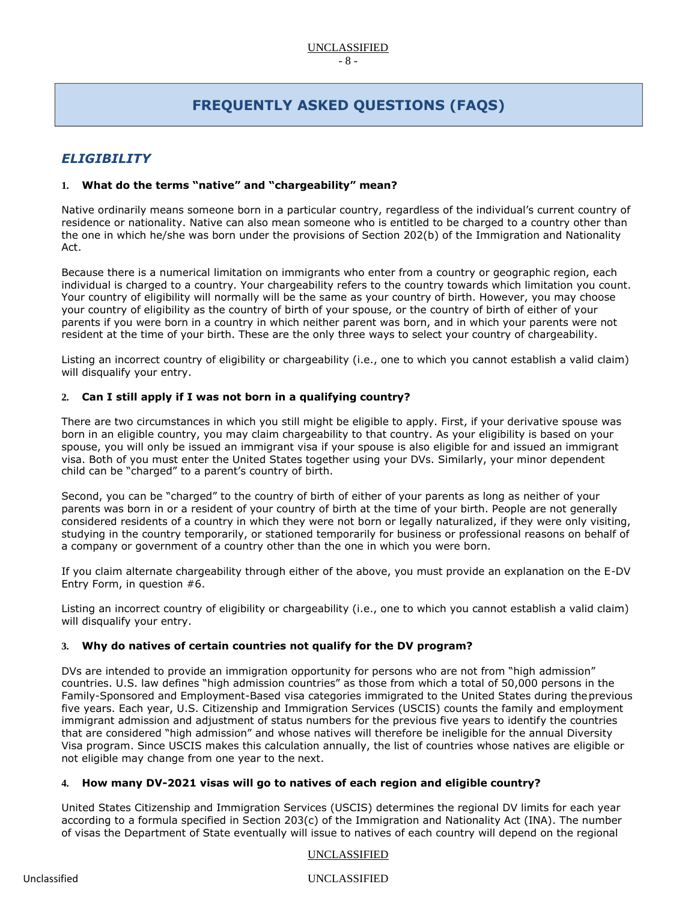# **FREQUENTLY ASKED QUESTIONS (FAQS)**

# <span id="page-7-0"></span>*ELIGIBILITY*

# **1. What do the terms "native" and "chargeability" mean?**

Native ordinarily means someone born in a particular country, regardless of the individual's current country of residence or nationality. Native can also mean someone who is entitled to be charged to a country other than the one in which he/she was born under the provisions of Section 202(b) of the Immigration and Nationality Act.

Because there is a numerical limitation on immigrants who enter from a country or geographic region, each individual is charged to a country. Your chargeability refers to the country towards which limitation you count. Your country of eligibility will normally will be the same as your country of birth. However, you may choose your country of eligibility as the country of birth of your spouse, or the country of birth of either of your parents if you were born in a country in which neither parent was born, and in which your parents were not resident at the time of your birth. These are the only three ways to select your country of chargeability.

Listing an incorrect country of eligibility or chargeability (i.e., one to which you cannot establish a valid claim) will disqualify your entry.

#### <span id="page-7-1"></span>**2. Can I still apply if I was not born in a qualifying country?**

There are two circumstances in which you still might be eligible to apply. First, if your derivative spouse was born in an eligible country, you may claim chargeability to that country. As your eligibility is based on your spouse, you will only be issued an immigrant visa if your spouse is also eligible for and issued an immigrant visa. Both of you must enter the United States together using your DVs. Similarly, your minor dependent child can be "charged" to a parent's country of birth.

Second, you can be "charged" to the country of birth of either of your parents as long as neither of your parents was born in or a resident of your country of birth at the time of your birth. People are not generally considered residents of a country in which they were not born or legally naturalized, if they were only visiting, studying in the country temporarily, or stationed temporarily for business or professional reasons on behalf of a company or government of a country other than the one in which you were born.

If you claim alternate chargeability through either of the above, you must provide an explanation on the E-DV Entry Form, in question #6.

Listing an incorrect country of eligibility or chargeability (i.e., one to which you cannot establish a valid claim) will disqualify your entry.

# **3. Why do natives of certain countries not qualify for the DV program?**

DVs are intended to provide an immigration opportunity for persons who are not from "high admission" countries. U.S. law defines "high admission countries" as those from which a total of 50,000 persons in the Family-Sponsored and Employment-Based visa categories immigrated to the United States during theprevious five years. Each year, U.S. Citizenship and Immigration Services (USCIS) counts the family and employment immigrant admission and adjustment of status numbers for the previous five years to identify the countries that are considered "high admission" and whose natives will therefore be ineligible for the annual Diversity Visa program. Since USCIS makes this calculation annually, the list of countries whose natives are eligible or not eligible may change from one year to the next.

# **4. How many DV-2021 visas will go to natives of each region and eligible country?**

United States Citizenship and Immigration Services (USCIS) determines the regional DV limits for each year according to a formula specified in Section 203(c) of the Immigration and Nationality Act (INA). The number of visas the Department of State eventually will issue to natives of each country will depend on the regional

# UNCLASSIFIED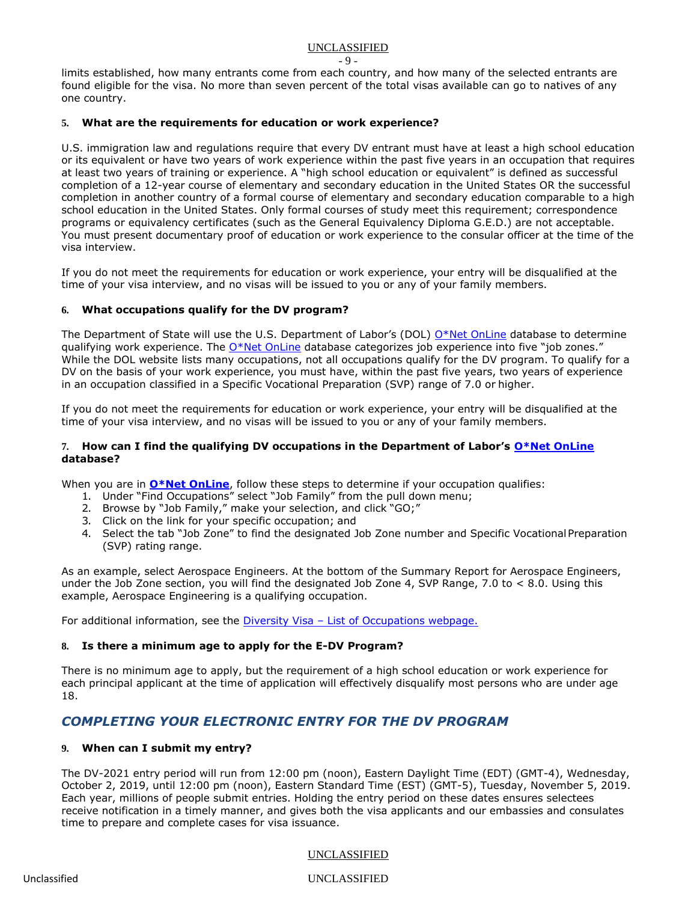- 9 -

limits established, how many entrants come from each country, and how many of the selected entrants are found eligible for the visa. No more than seven percent of the total visas available can go to natives of any one country.

# <span id="page-8-0"></span>**5. What are the requirements for education or work experience?**

U.S. immigration law and regulations require that every DV entrant must have at least a high school education or its equivalent or have two years of work experience within the past five years in an occupation that requires at least two years of training or experience. A "high school education or equivalent" is defined as successful completion of a 12-year course of elementary and secondary education in the United States OR the successful completion in another country of a formal course of elementary and secondary education comparable to a high school education in the United States. Only formal courses of study meet this requirement; correspondence programs or equivalency certificates (such as the General Equivalency Diploma G.E.D.) are not acceptable. You must present documentary proof of education or work experience to the consular officer at the time of the visa interview.

If you do not meet the requirements for education or work experience, your entry will be disqualified at the time of your visa interview, and no visas will be issued to you or any of your family members.

# **6. What occupations qualify for the DV program?**

The Department of State will use the U.S. Department of Labor's (DOL) [O\\*Net OnLine](http://online.onetcenter.org/) database to determine qualifying work experience. The [O\\*Net OnLine](http://online.onetcenter.org/) database categorizes job experience into five "job zones." While the DOL website lists many occupations, not all occupations qualify for the DV program. To qualify for a DV on the basis of your work experience, you must have, within the past five years, two years of experience in an occupation classified in a Specific Vocational Preparation (SVP) range of 7.0 or higher.

If you do not meet the requirements for education or work experience, your entry will be disqualified at the time of your visa interview, and no visas will be issued to you or any of your family members.

# **7. How can I find the qualifying DV occupations in the Department of Labor's [O\\*Net OnLine](http://online.onetcenter.org/) database?**

When you are in **[O\\*Net OnLine](http://online.onetcenter.org/)**, follow these steps to determine if your occupation qualifies:

- 1. Under "Find Occupations" select "Job Family" from the pull down menu;
- 2. Browse by "Job Family," make your selection, and click "GO;"
- 3. Click on the link for your specific occupation; and
- 4. Select the tab "Job Zone" to find the designated Job Zone number and Specific VocationalPreparation (SVP) rating range.

As an example, select Aerospace Engineers. At the bottom of the Summary Report for Aerospace Engineers, under the Job Zone section, you will find the designated Job Zone 4, SVP Range, 7.0 to < 8.0. Using this example, Aerospace Engineering is a qualifying occupation.

For additional information, see the Diversity Visa - [List of Occupations webpage.](https://travel.state.gov/content/travel/en/us-visas/immigrate/diversity-visa-program-entry/diversity-visa-if-you-are-selected/diversity-visa-confirm-your-qualifications.html)

# **8. Is there a minimum age to apply for the E-DV Program?**

There is no minimum age to apply, but the requirement of a high school education or work experience for each principal applicant at the time of application will effectively disqualify most persons who are under age 18.

# <span id="page-8-1"></span>*COMPLETING YOUR ELECTRONIC ENTRY FOR THE DV PROGRAM*

# **9. When can I submit my entry?**

The DV-2021 entry period will run from 12:00 pm (noon), Eastern Daylight Time (EDT) (GMT-4), Wednesday, October 2, 2019, until 12:00 pm (noon), Eastern Standard Time (EST) (GMT-5), Tuesday, November 5, 2019. Each year, millions of people submit entries. Holding the entry period on these dates ensures selectees receive notification in a timely manner, and gives both the visa applicants and our embassies and consulates time to prepare and complete cases for visa issuance.

# UNCLASSIFIED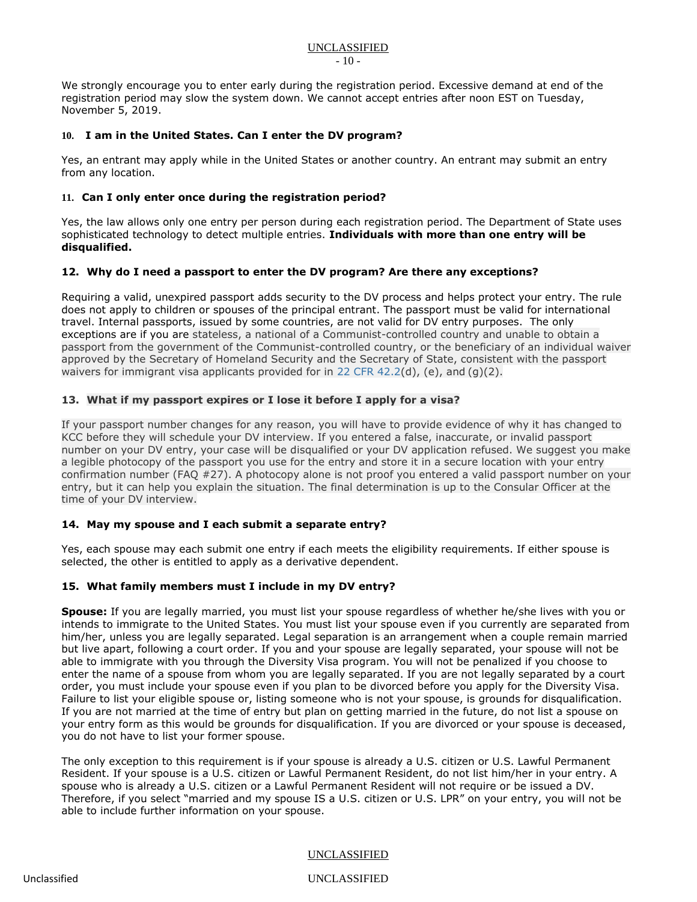We strongly encourage you to enter early during the registration period. Excessive demand at end of the registration period may slow the system down. We cannot accept entries after noon EST on Tuesday, November 5, 2019.

### **10. I am in the United States. Can I enter the DV program?**

Yes, an entrant may apply while in the United States or another country. An entrant may submit an entry from any location.

### **11. Can I only enter once during the registration period?**

Yes, the law allows only one entry per person during each registration period. The Department of State uses sophisticated technology to detect multiple entries. **Individuals with more than one entry will be disqualified.**

#### **12. Why do I need a passport to enter the DV program? Are there any exceptions?**

Requiring a valid, unexpired passport adds security to the DV process and helps protect your entry. The rule does not apply to children or spouses of the principal entrant. The passport must be valid for international travel. Internal passports, issued by some countries, are not valid for DV entry purposes. The only exceptions are if you are stateless, a national of a Communist-controlled country and unable to obtain a passport from the government of the Communist-controlled country, or the beneficiary of an individual waiver approved by the Secretary of Homeland Security and the Secretary of State, consistent with the passport waivers for immigrant visa applicants provided for in [22 CFR 42.2\(](https://www.federalregister.gov/select-citation/2019/06/05/22-CFR-42.2)d), (e), and (g)(2).

# **13. What if my passport expires or I lose it before I apply for a visa?**

If your passport number changes for any reason, you will have to provide evidence of why it has changed to KCC before they will schedule your DV interview. If you entered a false, inaccurate, or invalid passport number on your DV entry, your case will be disqualified or your DV application refused. We suggest you make a legible photocopy of the passport you use for the entry and store it in a secure location with your entry confirmation number (FAQ #27). A photocopy alone is not proof you entered a valid passport number on your entry, but it can help you explain the situation. The final determination is up to the Consular Officer at the time of your DV interview.

# <span id="page-9-1"></span>**14. May my spouse and I each submit a separate entry?**

Yes, each spouse may each submit one entry if each meets the eligibility requirements. If either spouse is selected, the other is entitled to apply as a derivative dependent.

#### <span id="page-9-0"></span>**15. What family members must I include in my DV entry?**

**Spouse:** If you are legally married, you must list your spouse regardless of whether he/she lives with you or intends to immigrate to the United States. You must list your spouse even if you currently are separated from him/her, unless you are legally separated. Legal separation is an arrangement when a couple remain married but live apart, following a court order. If you and your spouse are legally separated, your spouse will not be able to immigrate with you through the Diversity Visa program. You will not be penalized if you choose to enter the name of a spouse from whom you are legally separated. If you are not legally separated by a court order, you must include your spouse even if you plan to be divorced before you apply for the Diversity Visa. Failure to list your eligible spouse or, listing someone who is not your spouse, is grounds for disqualification. If you are not married at the time of entry but plan on getting married in the future, do not list a spouse on your entry form as this would be grounds for disqualification. If you are divorced or your spouse is deceased, you do not have to list your former spouse.

The only exception to this requirement is if your spouse is already a U.S. citizen or U.S. Lawful Permanent Resident. If your spouse is a U.S. citizen or Lawful Permanent Resident, do not list him/her in your entry. A spouse who is already a U.S. citizen or a Lawful Permanent Resident will not require or be issued a DV. Therefore, if you select "married and my spouse IS a U.S. citizen or U.S. LPR" on your entry, you will not be able to include further information on your spouse.

#### UNCLASSIFIED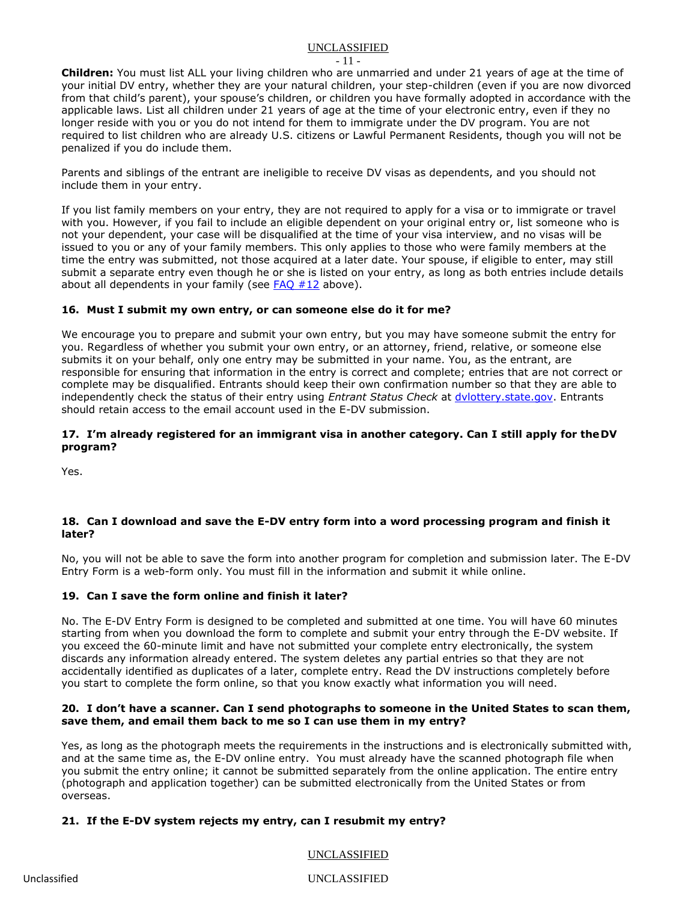- 11 -

**Children:** You must list ALL your living children who are unmarried and under 21 years of age at the time of your initial DV entry, whether they are your natural children, your step-children (even if you are now divorced from that child's parent), your spouse's children, or children you have formally adopted in accordance with the applicable laws. List all children under 21 years of age at the time of your electronic entry, even if they no longer reside with you or you do not intend for them to immigrate under the DV program. You are not required to list children who are already U.S. citizens or Lawful Permanent Residents, though you will not be penalized if you do include them.

Parents and siblings of the entrant are ineligible to receive DV visas as dependents, and you should not include them in your entry.

If you list family members on your entry, they are not required to apply for a visa or to immigrate or travel with you. However, if you fail to include an eligible dependent on your original entry or, list someone who is not your dependent, your case will be disqualified at the time of your visa interview, and no visas will be issued to you or any of your family members. This only applies to those who were family members at the time the entry was submitted, not those acquired at a later date. Your spouse, if eligible to enter, may still submit a separate entry even though he or she is listed on your entry, as long as both entries include details about all dependents in your family (see  $FAO #12$  above).

# **16. Must I submit my own entry, or can someone else do it for me?**

We encourage you to prepare and submit your own entry, but you may have someone submit the entry for you. Regardless of whether you submit your own entry, or an attorney, friend, relative, or someone else submits it on your behalf, only one entry may be submitted in your name. You, as the entrant, are responsible for ensuring that information in the entry is correct and complete; entries that are not correct or complete may be disqualified. Entrants should keep their own confirmation number so that they are able to independently check the status of their entry using *Entrant Status Check* at [dvlottery.state.gov.](http://dvlottery.state.gov/) Entrants should retain access to the email account used in the E-DV submission.

# **17. I'm already registered for an immigrant visa in another category. Can I still apply for the DV program?**

Yes.

# **18. Can I download and save the E-DV entry form into a word processing program and finish it later?**

No, you will not be able to save the form into another program for completion and submission later. The E-DV Entry Form is a web-form only. You must fill in the information and submit it while online.

# **19. Can I save the form online and finish it later?**

No. The E-DV Entry Form is designed to be completed and submitted at one time. You will have 60 minutes starting from when you download the form to complete and submit your entry through the E-DV website. If you exceed the 60-minute limit and have not submitted your complete entry electronically, the system discards any information already entered. The system deletes any partial entries so that they are not accidentally identified as duplicates of a later, complete entry. Read the DV instructions completely before you start to complete the form online, so that you know exactly what information you will need.

#### **20. I don't have a scanner. Can I send photographs to someone in the United States to scan them, save them, and email them back to me so I can use them in my entry?**

Yes, as long as the photograph meets the requirements in the instructions and is electronically submitted with, and at the same time as, the E-DV online entry. You must already have the scanned photograph file when you submit the entry online; it cannot be submitted separately from the online application. The entire entry (photograph and application together) can be submitted electronically from the United States or from overseas.

# **21. If the E-DV system rejects my entry, can I resubmit my entry?**

UNCLASSIFIED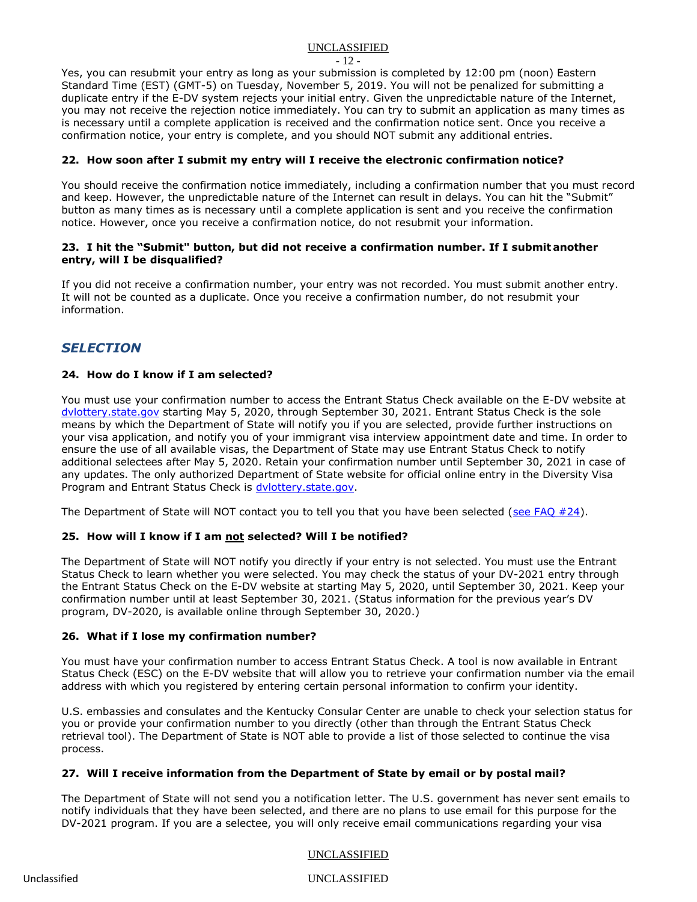- 12 -

Yes, you can resubmit your entry as long as your submission is completed by 12:00 pm (noon) Eastern Standard Time (EST) (GMT-5) on Tuesday, November 5, 2019. You will not be penalized for submitting a duplicate entry if the E-DV system rejects your initial entry. Given the unpredictable nature of the Internet, you may not receive the rejection notice immediately. You can try to submit an application as many times as is necessary until a complete application is received and the confirmation notice sent. Once you receive a confirmation notice, your entry is complete, and you should NOT submit any additional entries.

# **22. How soon after I submit my entry will I receive the electronic confirmation notice?**

You should receive the confirmation notice immediately, including a confirmation number that you must record and keep. However, the unpredictable nature of the Internet can result in delays. You can hit the "Submit" button as many times as is necessary until a complete application is sent and you receive the confirmation notice. However, once you receive a confirmation notice, do not resubmit your information.

# **23. I hit the "Submit" button, but did not receive a confirmation number. If I submit another entry, will I be disqualified?**

If you did not receive a confirmation number, your entry was not recorded. You must submit another entry. It will not be counted as a duplicate. Once you receive a confirmation number, do not resubmit your information.

# <span id="page-11-0"></span>*SELECTION*

# **24. How do I know if I am selected?**

You must use your confirmation number to access the Entrant Status Check available on the E-DV website at [dvlottery.state.gov](http://dvlottery.state.gov/) starting May 5, 2020, through September 30, 2021. Entrant Status Check is the sole means by which the Department of State will notify you if you are selected, provide further instructions on your visa application, and notify you of your immigrant visa interview appointment date and time. In order to ensure the use of all available visas, the Department of State may use Entrant Status Check to notify additional selectees after May 5, 2020. Retain your confirmation number until September 30, 2021 in case of any updates. The only authorized Department of State website for official online entry in the Diversity Visa Program and Entrant Status Check is [dvlottery.state.gov.](http://dvlottery.state.gov/)

The Department of State will NOT contact you to tell you that you have been selected (see FAQ  $#24$ ).

# <span id="page-11-1"></span>**25. How will I know if I am not selected? Will I be notified?**

The Department of State will NOT notify you directly if your entry is not selected. You must use the Entrant Status Check to learn whether you were selected. You may check the status of your DV-2021 entry through the Entrant Status Check on the E-DV website at starting May 5, 2020, until September 30, 2021. Keep your confirmation number until at least September 30, 2021. (Status information for the previous year's DV program, DV-2020, is available online through September 30, 2020.)

# **26. What if I lose my confirmation number?**

You must have your confirmation number to access Entrant Status Check. A tool is now available in Entrant Status Check (ESC) on the E-DV website that will allow you to retrieve your confirmation number via the email address with which you registered by entering certain personal information to confirm your identity.

U.S. embassies and consulates and the Kentucky Consular Center are unable to check your selection status for you or provide your confirmation number to you directly (other than through the Entrant Status Check retrieval tool). The Department of State is NOT able to provide a list of those selected to continue the visa process.

# **27. Will I receive information from the Department of State by email or by postal mail?**

The Department of State will not send you a notification letter. The U.S. government has never sent emails to notify individuals that they have been selected, and there are no plans to use email for this purpose for the DV-2021 program. If you are a selectee, you will only receive email communications regarding your visa

# UNCLASSIFIED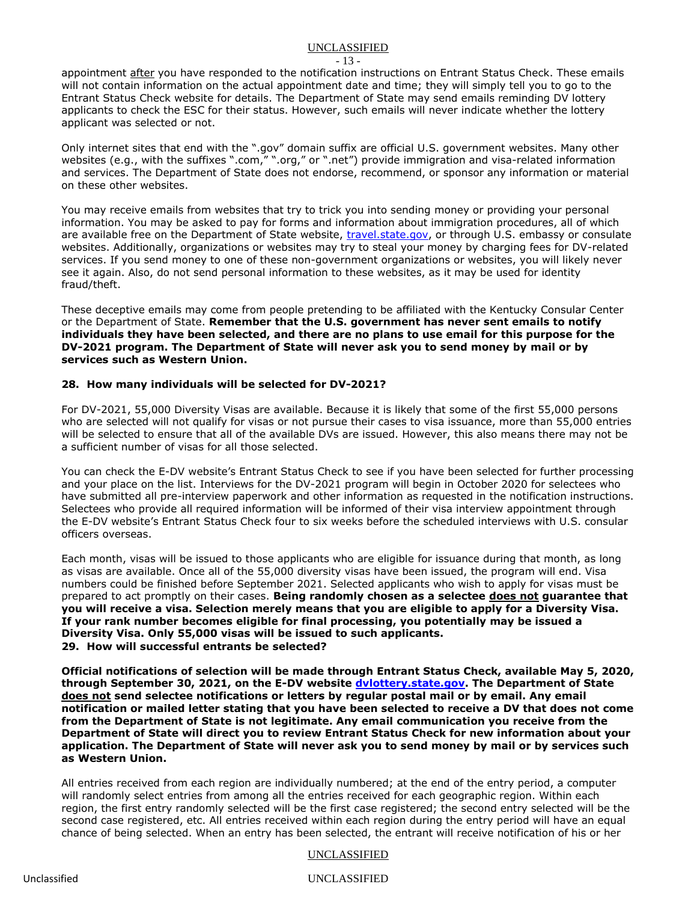- 13 -

appointment after you have responded to the notification instructions on Entrant Status Check. These emails will not contain information on the actual appointment date and time; they will simply tell you to go to the Entrant Status Check website for details. The Department of State may send emails reminding DV lottery applicants to check the ESC for their status. However, such emails will never indicate whether the lottery applicant was selected or not.

Only internet sites that end with the ".gov" domain suffix are official U.S. government websites. Many other websites (e.g., with the suffixes ".com," ".org," or ".net") provide immigration and visa-related information and services. The Department of State does not endorse, recommend, or sponsor any information or material on these other websites.

You may receive emails from websites that try to trick you into sending money or providing your personal information. You may be asked to pay for forms and information about immigration procedures, all of which are available free on the Department of State website, [travel.state.gov,](https://travel.state.gov/content/visas/en.html) or through U.S. embassy or consulate websites. Additionally, organizations or websites may try to steal your money by charging fees for DV-related services. If you send money to one of these non-government organizations or websites, you will likely never see it again. Also, do not send personal information to these websites, as it may be used for identity fraud/theft.

These deceptive emails may come from people pretending to be affiliated with the Kentucky Consular Center or the Department of State. **Remember that the U.S. government has never sent emails to notify individuals they have been selected, and there are no plans to use email for this purpose for the DV-2021 program. The Department of State will never ask you to send money by mail or by services such as Western Union.**

# **28. How many individuals will be selected for DV-2021?**

For DV-2021, 55,000 Diversity Visas are available. Because it is likely that some of the first 55,000 persons who are selected will not qualify for visas or not pursue their cases to visa issuance, more than 55,000 entries will be selected to ensure that all of the available DVs are issued. However, this also means there may not be a sufficient number of visas for all those selected.

You can check the E-DV website's Entrant Status Check to see if you have been selected for further processing and your place on the list. Interviews for the DV-2021 program will begin in October 2020 for selectees who have submitted all pre-interview paperwork and other information as requested in the notification instructions. Selectees who provide all required information will be informed of their visa interview appointment through the E-DV website's Entrant Status Check four to six weeks before the scheduled interviews with U.S. consular officers overseas.

Each month, visas will be issued to those applicants who are eligible for issuance during that month, as long as visas are available. Once all of the 55,000 diversity visas have been issued, the program will end. Visa numbers could be finished before September 2021. Selected applicants who wish to apply for visas must be prepared to act promptly on their cases. **Being randomly chosen as a selectee does not guarantee that you will receive a visa. Selection merely means that you are eligible to apply for a Diversity Visa. If your rank number becomes eligible for final processing, you potentially may be issued a Diversity Visa. Only 55,000 visas will be issued to such applicants. 29. How will successful entrants be selected?**

**Official notifications of selection will be made through Entrant Status Check, available May 5, 2020, through September 30, 2021, on the E-DV website [dvlottery.state.gov.](http://dvlottery.state.gov/) The Department of State does not send selectee notifications or letters by regular postal mail or by email. Any email notification or mailed letter stating that you have been selected to receive a DV that does not come from the Department of State is not legitimate. Any email communication you receive from the Department of State will direct you to review Entrant Status Check for new information about your application. The Department of State will never ask you to send money by mail or by services such as Western Union.**

All entries received from each region are individually numbered; at the end of the entry period, a computer will randomly select entries from among all the entries received for each geographic region. Within each region, the first entry randomly selected will be the first case registered; the second entry selected will be the second case registered, etc. All entries received within each region during the entry period will have an equal chance of being selected. When an entry has been selected, the entrant will receive notification of his or her

# UNCLASSIFIED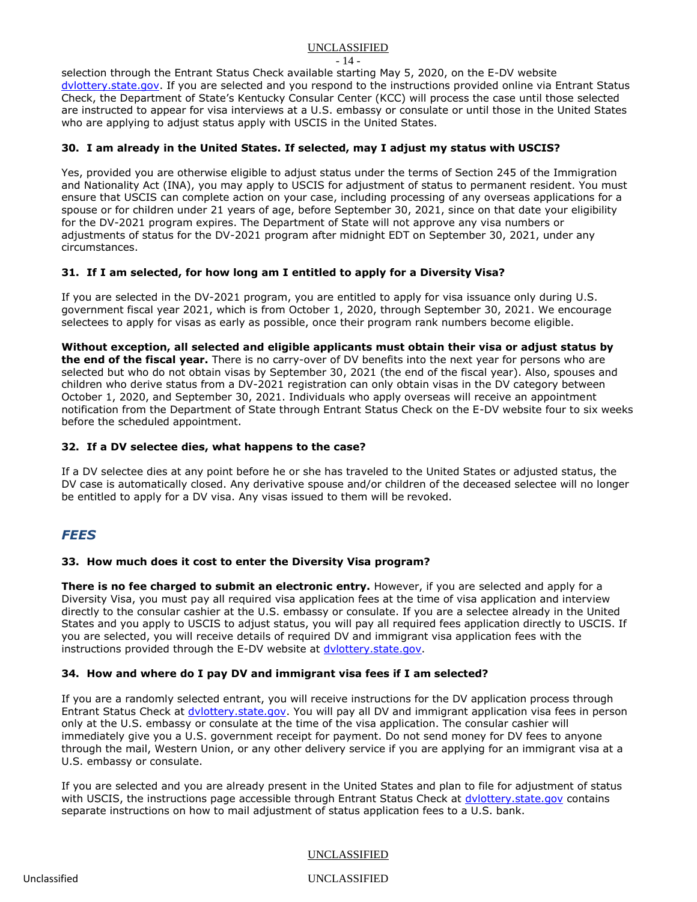- 14 -

selection through the Entrant Status Check available starting May 5, 2020, on the E-DV website [dvlottery.state.gov.](http://dvlottery.state.gov/) If you are selected and you respond to the instructions provided online via Entrant Status Check, the Department of State's Kentucky Consular Center (KCC) will process the case until those selected are instructed to appear for visa interviews at a U.S. embassy or consulate or until those in the United States who are applying to adjust status apply with USCIS in the United States.

# **30. I am already in the United States. If selected, may I adjust my status with USCIS?**

Yes, provided you are otherwise eligible to adjust status under the terms of Section 245 of the Immigration and Nationality Act (INA), you may apply to USCIS for adjustment of status to permanent resident. You must ensure that USCIS can complete action on your case, including processing of any overseas applications for a spouse or for children under 21 years of age, before September 30, 2021, since on that date your eligibility for the DV-2021 program expires. The Department of State will not approve any visa numbers or adjustments of status for the DV-2021 program after midnight EDT on September 30, 2021, under any circumstances.

# **31. If I am selected, for how long am I entitled to apply for a Diversity Visa?**

If you are selected in the DV-2021 program, you are entitled to apply for visa issuance only during U.S. government fiscal year 2021, which is from October 1, 2020, through September 30, 2021. We encourage selectees to apply for visas as early as possible, once their program rank numbers become eligible.

**Without exception, all selected and eligible applicants must obtain their visa or adjust status by the end of the fiscal year.** There is no carry-over of DV benefits into the next year for persons who are selected but who do not obtain visas by September 30, 2021 (the end of the fiscal year). Also, spouses and children who derive status from a DV-2021 registration can only obtain visas in the DV category between October 1, 2020, and September 30, 2021. Individuals who apply overseas will receive an appointment notification from the Department of State through Entrant Status Check on the E-DV website four to six weeks before the scheduled appointment.

# **32. If a DV selectee dies, what happens to the case?**

If a DV selectee dies at any point before he or she has traveled to the United States or adjusted status, the DV case is automatically closed. Any derivative spouse and/or children of the deceased selectee will no longer be entitled to apply for a DV visa. Any visas issued to them will be revoked.

# *FEES*

# **33. How much does it cost to enter the Diversity Visa program?**

**There is no fee charged to submit an electronic entry.** However, if you are selected and apply for a Diversity Visa, you must pay all required visa application fees at the time of visa application and interview directly to the consular cashier at the U.S. embassy or consulate. If you are a selectee already in the United States and you apply to USCIS to adjust status, you will pay all required fees application directly to USCIS. If you are selected, you will receive details of required DV and immigrant visa application fees with the instructions provided through the E-DV website at [dvlottery.state.gov.](http://dvlottery.state.gov/)

# **34. How and where do I pay DV and immigrant visa fees if I am selected?**

If you are a randomly selected entrant, you will receive instructions for the DV application process through Entrant Status Check at [dvlottery.state.gov.](http://dvlottery.state.gov/) You will pay all DV and immigrant application visa fees in person only at the U.S. embassy or consulate at the time of the visa application. The consular cashier will immediately give you a U.S. government receipt for payment. Do not send money for DV fees to anyone through the mail, Western Union, or any other delivery service if you are applying for an immigrant visa at a U.S. embassy or consulate.

If you are selected and you are already present in the United States and plan to file for adjustment of status with USCIS, the instructions page accessible through Entrant Status Check at dylottery.state.gov contains separate instructions on how to mail adjustment of status application fees to a U.S. bank.

# UNCLASSIFIED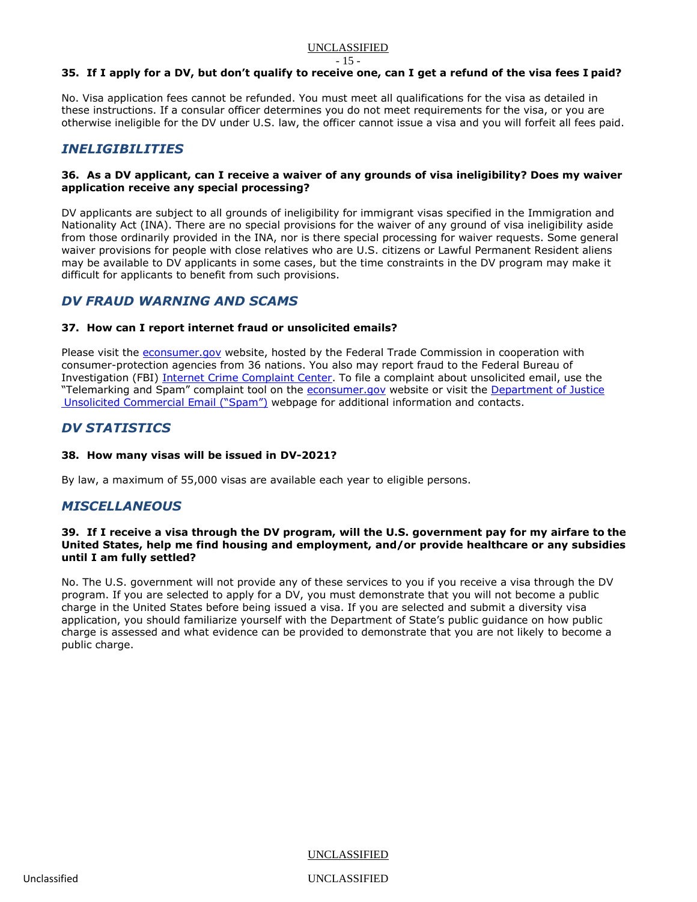#### - 15 -

# **35. If I apply for a DV, but don't qualify to receive one, can I get a refund of the visa fees I paid?**

No. Visa application fees cannot be refunded. You must meet all qualifications for the visa as detailed in these instructions. If a consular officer determines you do not meet requirements for the visa, or you are otherwise ineligible for the DV under U.S. law, the officer cannot issue a visa and you will forfeit all fees paid.

# *INELIGIBILITIES*

#### **36. As a DV applicant, can I receive a waiver of any grounds of visa ineligibility? Does my waiver application receive any special processing?**

DV applicants are subject to all grounds of ineligibility for immigrant visas specified in the Immigration and Nationality Act (INA). There are no special provisions for the waiver of any ground of visa ineligibility aside from those ordinarily provided in the INA, nor is there special processing for waiver requests. Some general waiver provisions for people with close relatives who are U.S. citizens or Lawful Permanent Resident aliens may be available to DV applicants in some cases, but the time constraints in the DV program may make it difficult for applicants to benefit from such provisions.

# <span id="page-14-0"></span>*DV FRAUD WARNING AND SCAMS*

# **37. How can I report internet fraud or unsolicited emails?**

Please visit the [econsumer.gov](http://econsumer.gov/) website, hosted by the Federal Trade Commission in cooperation with consumer-protection agencies from 36 nations. You also may report fraud to the Federal Bureau of Investigation (FBI) [Internet Crime Complaint Center.](http://www.ic3.gov/) To file a complaint about unsolicited email, use the "Telemarking and Spam" complaint tool on the [econsumer.gov](http://econsumer.gov/) website or visit the [Department of Justice](https://www.justice.gov/doj/spam) [Unsolicited Commercial Email \("Spam"\)](https://www.justice.gov/doj/spam) webpage for additional information and contacts.

# *DV STATISTICS*

# **38. How many visas will be issued in DV-2021?**

By law, a maximum of 55,000 visas are available each year to eligible persons.

# *MISCELLANEOUS*

#### **39. If I receive a visa through the DV program, will the U.S. government pay for my airfare to the United States, help me find housing and employment, and/or provide healthcare or any subsidies until I am fully settled?**

No. The U.S. government will not provide any of these services to you if you receive a visa through the DV program. If you are selected to apply for a DV, you must demonstrate that you will not become a public charge in the United States before being issued a visa. If you are selected and submit a diversity visa application, you should familiarize yourself with the Department of State's public guidance on how public charge is assessed and what evidence can be provided to demonstrate that you are not likely to become a public charge.

UNCLASSIFIED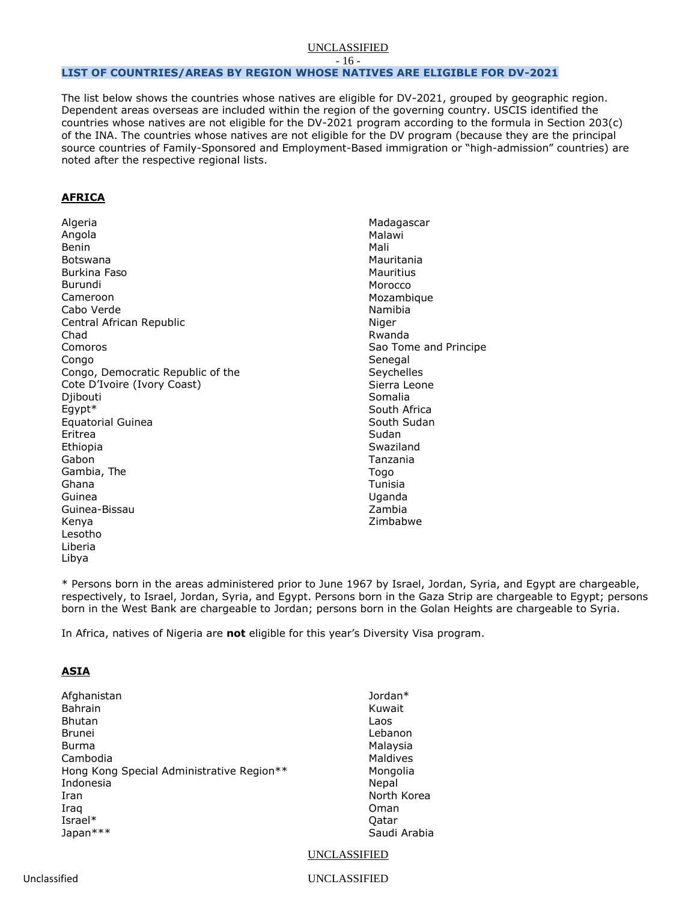- 16 -

# <span id="page-15-0"></span>**LIST OF COUNTRIES/AREAS BY REGION WHOSE NATIVES ARE ELIGIBLE FOR DV-2021**

The list below shows the countries whose natives are eligible for DV-2021, grouped by geographic region. Dependent areas overseas are included within the region of the governing country. USCIS identified the countries whose natives are not eligible for the DV-2021 program according to the formula in Section 203(c) of the INA. The countries whose natives are not eligible for the DV program (because they are the principal source countries of Family-Sponsored and Employment-Based immigration or "high-admission" countries) are noted after the respective regional lists.

# **AFRICA**

Algeria Angola Benin Botswana Burkina Faso Burundi Cameroon Cabo Verde Central African Republic Chad Comoros Congo Congo, Democratic Republic of the Cote D'Ivoire (Ivory Coast) Diibouti Egypt\* Equatorial Guinea Eritrea Ethiopia Gabon Gambia, The Ghana Guinea Guinea-Bissau Kenya Lesotho Liberia Libya

Madagascar Malawi Mali Mauritania Mauritius Morocco Mozambique Namibia Niger Rwanda Sao Tome and Principe Senegal **Sevchelles** Sierra Leone Somalia South Africa South Sudan Sudan Swaziland Tanzania Togo Tunisia Uganda Zambia Zimbabwe

\* Persons born in the areas administered prior to June 1967 by Israel, Jordan, Syria, and Egypt are chargeable, respectively, to Israel, Jordan, Syria, and Egypt. Persons born in the Gaza Strip are chargeable to Egypt; persons born in the West Bank are chargeable to Jordan; persons born in the Golan Heights are chargeable to Syria.

In Africa, natives of Nigeria are **not** eligible for this year's Diversity Visa program.

# **ASIA**

| Afghanistan                               | Jordan $*$   |
|-------------------------------------------|--------------|
| <b>Bahrain</b>                            | Kuwait       |
| <b>Bhutan</b>                             | Laos         |
| <b>Brunei</b>                             | Lebanon      |
| Burma                                     | Malaysia     |
| Cambodia                                  | Maldives     |
| Hong Kong Special Administrative Region** | Mongolia     |
| Indonesia                                 | Nepal        |
| Iran                                      | North Korea  |
| Iraq                                      | Oman         |
| Israel $*$                                | Oatar        |
| Japan***                                  | Saudi Arabia |

UNCLASSIFIED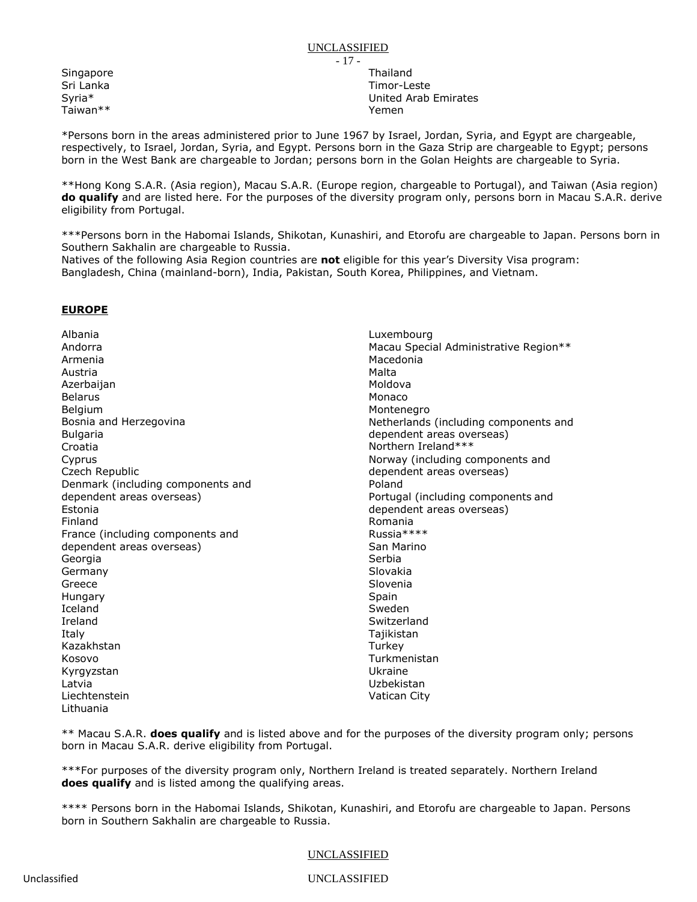**Singapore** Sri Lanka Syria\* Taiwan\*\*

Thailand Timor-Leste United Arab Emirates Yemen

\*Persons born in the areas administered prior to June 1967 by Israel, Jordan, Syria, and Egypt are chargeable, respectively, to Israel, Jordan, Syria, and Egypt. Persons born in the Gaza Strip are chargeable to Egypt; persons born in the West Bank are chargeable to Jordan; persons born in the Golan Heights are chargeable to Syria.

\*\*Hong Kong S.A.R. (Asia region), Macau S.A.R. (Europe region, chargeable to Portugal), and Taiwan (Asia region) **do qualify** and are listed here. For the purposes of the diversity program only, persons born in Macau S.A.R. derive eligibility from Portugal.

\*\*\*Persons born in the Habomai Islands, Shikotan, Kunashiri, and Etorofu are chargeable to Japan. Persons born in Southern Sakhalin are chargeable to Russia.

Natives of the following Asia Region countries are **not** eligible for this year's Diversity Visa program: Bangladesh, China (mainland-born), India, Pakistan, South Korea, Philippines, and Vietnam.

# **EUROPE**

Albania Andorra Armenia Austria Azerbaijan Belarus Belgium Bosnia and Herzegovina **Bulgaria** Croatia Cyprus Czech Republic Denmark (including components and dependent areas overseas) Estonia Finland France (including components and dependent areas overseas) Georgia Germany Greece Hungary Iceland Ireland Italy Kazakhstan Kosovo Kyrgyzstan Latvia Liechtenstein Lithuania

Luxembourg Macau Special Administrative Region\*\* Macedonia Malta Moldova Monaco Montenegro Netherlands (including components and dependent areas overseas) Northern Ireland\*\*\* Norway (including components and dependent areas overseas) Poland Portugal (including components and dependent areas overseas) Romania Russia\*\*\*\* San Marino Serbia Slovakia Slovenia Spain Sweden Switzerland Tajikistan **Turkey** Turkmenistan Ukraine Uzbekistan Vatican City

\*\* Macau S.A.R. **does qualify** and is listed above and for the purposes of the diversity program only; persons born in Macau S.A.R. derive eligibility from Portugal.

\*\*\*For purposes of the diversity program only, Northern Ireland is treated separately. Northern Ireland **does qualify** and is listed among the qualifying areas.

\*\*\*\* Persons born in the Habomai Islands, Shikotan, Kunashiri, and Etorofu are chargeable to Japan. Persons born in Southern Sakhalin are chargeable to Russia.

# UNCLASSIFIED